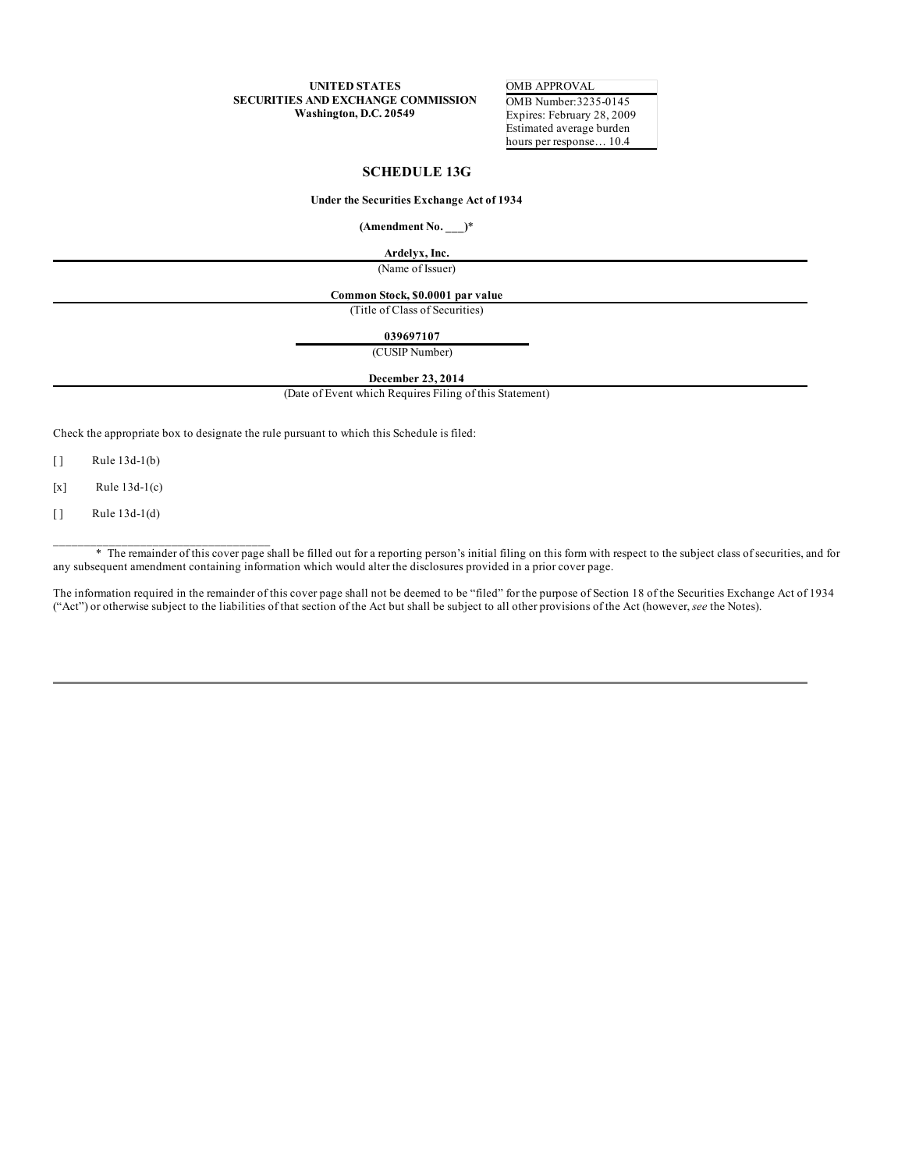**UNITED STATES SECURITIES AND EXCHANGE COMMISSION Washington, D.C. 20549**

OMB APPROVAL OMB Number:3235-0145 Expires: February 28, 2009 Estimated average burden hours per response... 10.4

# **SCHEDULE 13G**

#### **Under the Securities Exchange Act of 1934**

**(Amendment No. \_\_\_)**\*

**Ardelyx, Inc.**

(Name of Issuer)

# **Common Stock, \$0.0001 par value**

(Title of Class of Securities)

#### **039697107**

(CUSIP Number)

### **December 23, 2014**

(Date of Event which Requires Filing of this Statement)

Check the appropriate box to designate the rule pursuant to which this Schedule is filed:

[ ] Rule 13d-1(b)

 $[x]$  Rule 13d-1(c)

 $[ ]$  Rule 13d-1(d)

\_\_\_\_\_\_\_\_\_\_\_\_\_\_\_\_\_\_\_\_\_\_\_\_\_\_\_\_\_\_\_\_\_\_\_

\* The remainder of this cover page shall be filled out for a reporting person's initial filing on this form with respect to the subject class of securities, and for any subsequent amendment containing information which would alter the disclosures provided in a prior cover page.

The information required in the remainder of this cover page shall not be deemed to be "filed" for the purpose of Section 18 of the Securities Exchange Act of 1934 ("Act") or otherwise subject to the liabilities of that section of the Act but shall be subject to all other provisions of the Act (however, *see* the Notes).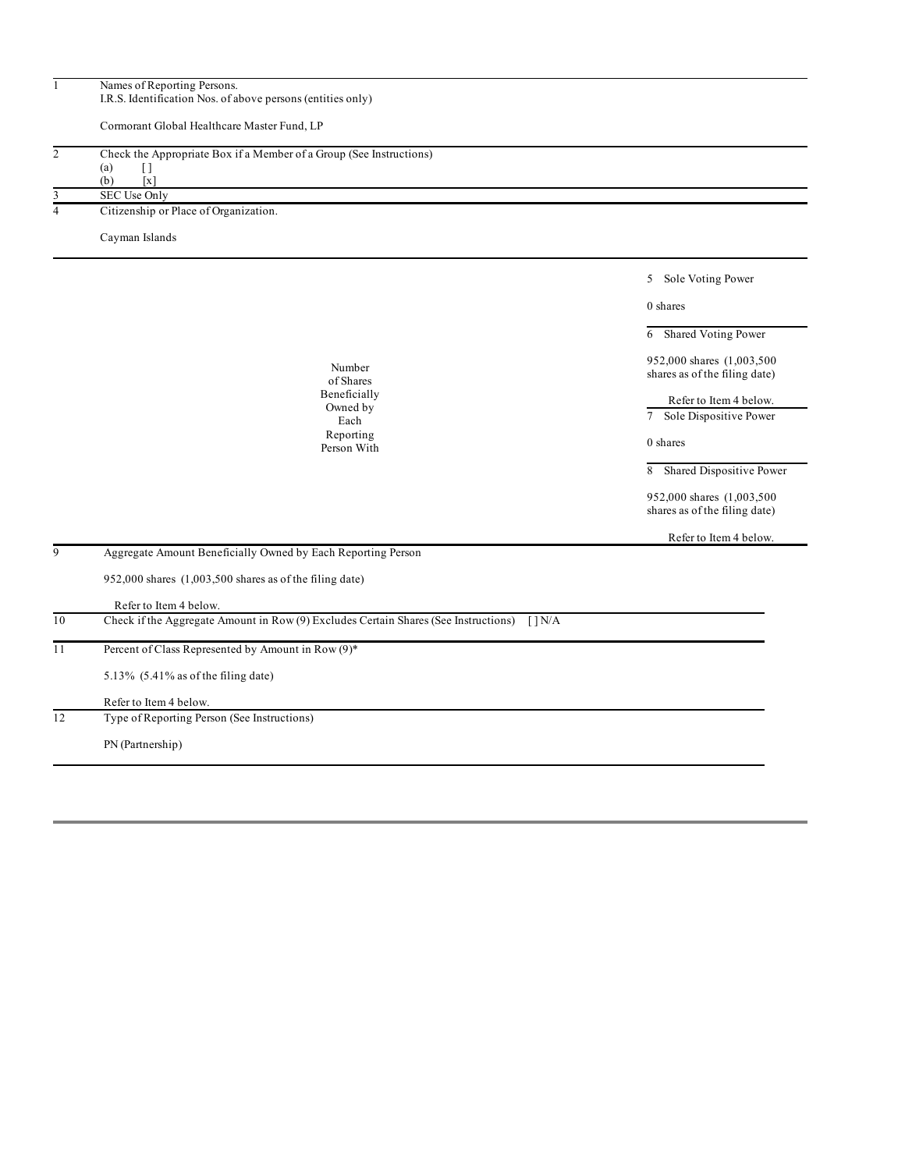| $\mathbf{1}$   | Names of Reporting Persons.<br>I.R.S. Identification Nos. of above persons (entities only) |                                                             |
|----------------|--------------------------------------------------------------------------------------------|-------------------------------------------------------------|
|                |                                                                                            |                                                             |
|                | Cormorant Global Healthcare Master Fund, LP                                                |                                                             |
| $\overline{c}$ | Check the Appropriate Box if a Member of a Group (See Instructions)                        |                                                             |
|                | (a)<br>$[ \ ]$<br>(b)<br>$\lceil x \rceil$                                                 |                                                             |
| 3              | SEC Use Only                                                                               |                                                             |
| 4              | Citizenship or Place of Organization.                                                      |                                                             |
|                | Cayman Islands                                                                             |                                                             |
|                |                                                                                            | 5 Sole Voting Power                                         |
|                |                                                                                            | 0 shares                                                    |
|                |                                                                                            | 6 Shared Voting Power                                       |
|                | Number                                                                                     | 952,000 shares (1,003,500)                                  |
|                | of Shares                                                                                  | shares as of the filing date)                               |
|                | Beneficially<br>Owned by                                                                   | Refer to Item 4 below.                                      |
|                | Each                                                                                       | 7 Sole Dispositive Power                                    |
|                | Reporting<br>Person With                                                                   | 0 shares                                                    |
|                |                                                                                            | 8 Shared Dispositive Power                                  |
|                |                                                                                            | 952,000 shares (1,003,500)<br>shares as of the filing date) |
|                |                                                                                            | Refer to Item 4 below.                                      |
| $\overline{9}$ | Aggregate Amount Beneficially Owned by Each Reporting Person                               |                                                             |
|                | 952,000 shares $(1,003,500$ shares as of the filing date)                                  |                                                             |
|                | Refer to Item 4 below.                                                                     |                                                             |
| 10             | Check if the Aggregate Amount in Row (9) Excludes Certain Shares (See Instructions) [] N/A |                                                             |
| 11             | Percent of Class Represented by Amount in Row (9)*                                         |                                                             |
|                | 5.13% $(5.41\%$ as of the filing date)                                                     |                                                             |
|                | Refer to Item 4 below.                                                                     |                                                             |
| 12             | Type of Reporting Person (See Instructions)                                                |                                                             |
|                | PN (Partnership)                                                                           |                                                             |
|                |                                                                                            |                                                             |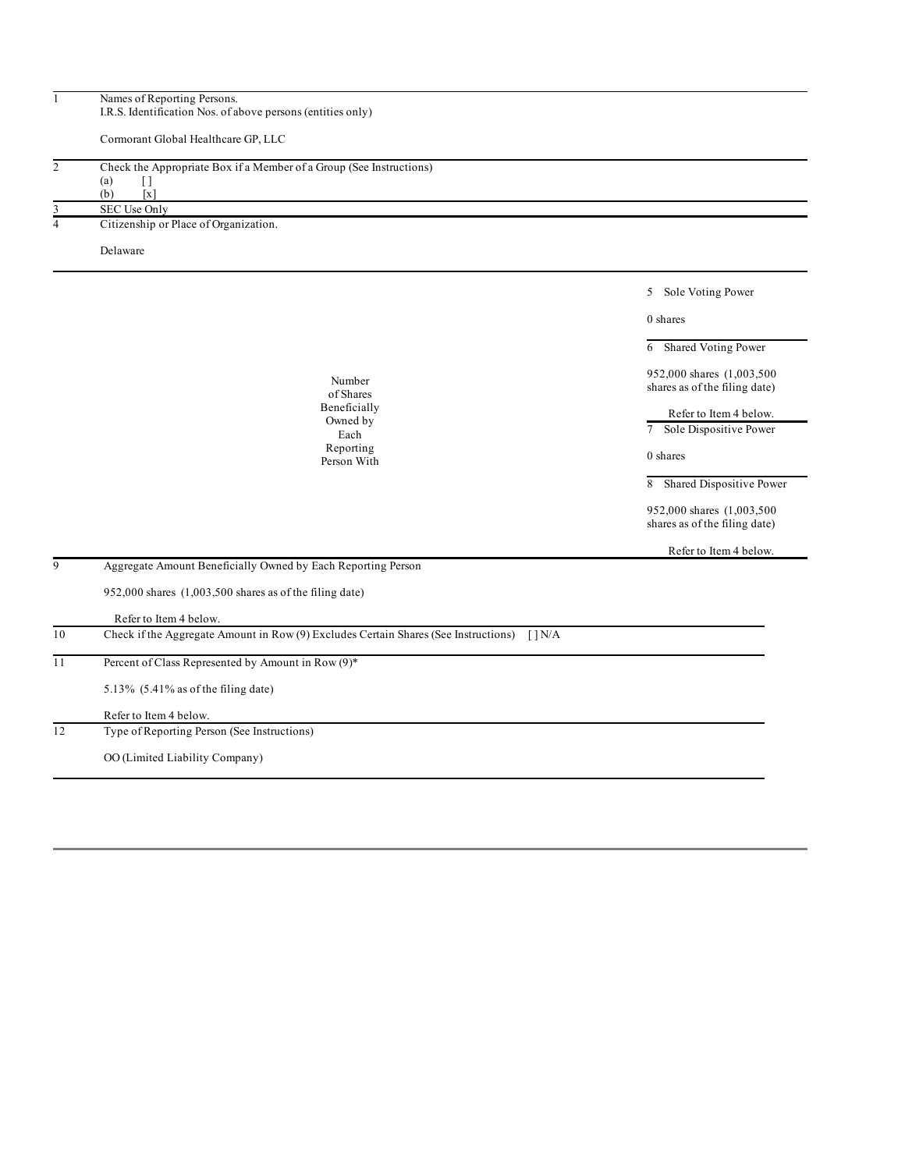| $\mathbf{1}$        | Names of Reporting Persons.<br>I.R.S. Identification Nos. of above persons (entities only)                                               |                                                             |
|---------------------|------------------------------------------------------------------------------------------------------------------------------------------|-------------------------------------------------------------|
|                     | Cormorant Global Healthcare GP, LLC                                                                                                      |                                                             |
| $\overline{2}$<br>3 | Check the Appropriate Box if a Member of a Group (See Instructions)<br>(a)<br>$[ \ ]$<br>(b)<br>$\lceil x \rceil$<br><b>SEC Use Only</b> |                                                             |
| $\overline{4}$      | Citizenship or Place of Organization.                                                                                                    |                                                             |
|                     | Delaware                                                                                                                                 |                                                             |
|                     |                                                                                                                                          | 5 Sole Voting Power                                         |
|                     |                                                                                                                                          | 0 shares                                                    |
|                     |                                                                                                                                          | Shared Voting Power<br>6                                    |
|                     | Number                                                                                                                                   | 952,000 shares (1,003,500)<br>shares as of the filing date) |
|                     | of Shares<br>Beneficially<br>Owned by                                                                                                    | Refer to Item 4 below.                                      |
|                     | Each<br>Reporting                                                                                                                        | Sole Dispositive Power<br>$7^{\circ}$                       |
|                     | Person With                                                                                                                              | 0 shares                                                    |
|                     |                                                                                                                                          | Shared Dispositive Power<br>8                               |
|                     |                                                                                                                                          | 952,000 shares (1,003,500)<br>shares as of the filing date) |
|                     |                                                                                                                                          | Refer to Item 4 below.                                      |
| 9                   | Aggregate Amount Beneficially Owned by Each Reporting Person                                                                             |                                                             |
|                     | 952,000 shares $(1,003,500$ shares as of the filing date)                                                                                |                                                             |
|                     | Refer to Item 4 below.                                                                                                                   |                                                             |
| 10                  | Check if the Aggregate Amount in Row (9) Excludes Certain Shares (See Instructions) [] N/A                                               |                                                             |
| 11                  | Percent of Class Represented by Amount in Row (9)*                                                                                       |                                                             |
|                     | 5.13% $(5.41\%$ as of the filing date)                                                                                                   |                                                             |
|                     | Refer to Item 4 below.                                                                                                                   |                                                             |
| 12                  | Type of Reporting Person (See Instructions)                                                                                              |                                                             |
|                     | OO (Limited Liability Company)                                                                                                           |                                                             |
|                     |                                                                                                                                          |                                                             |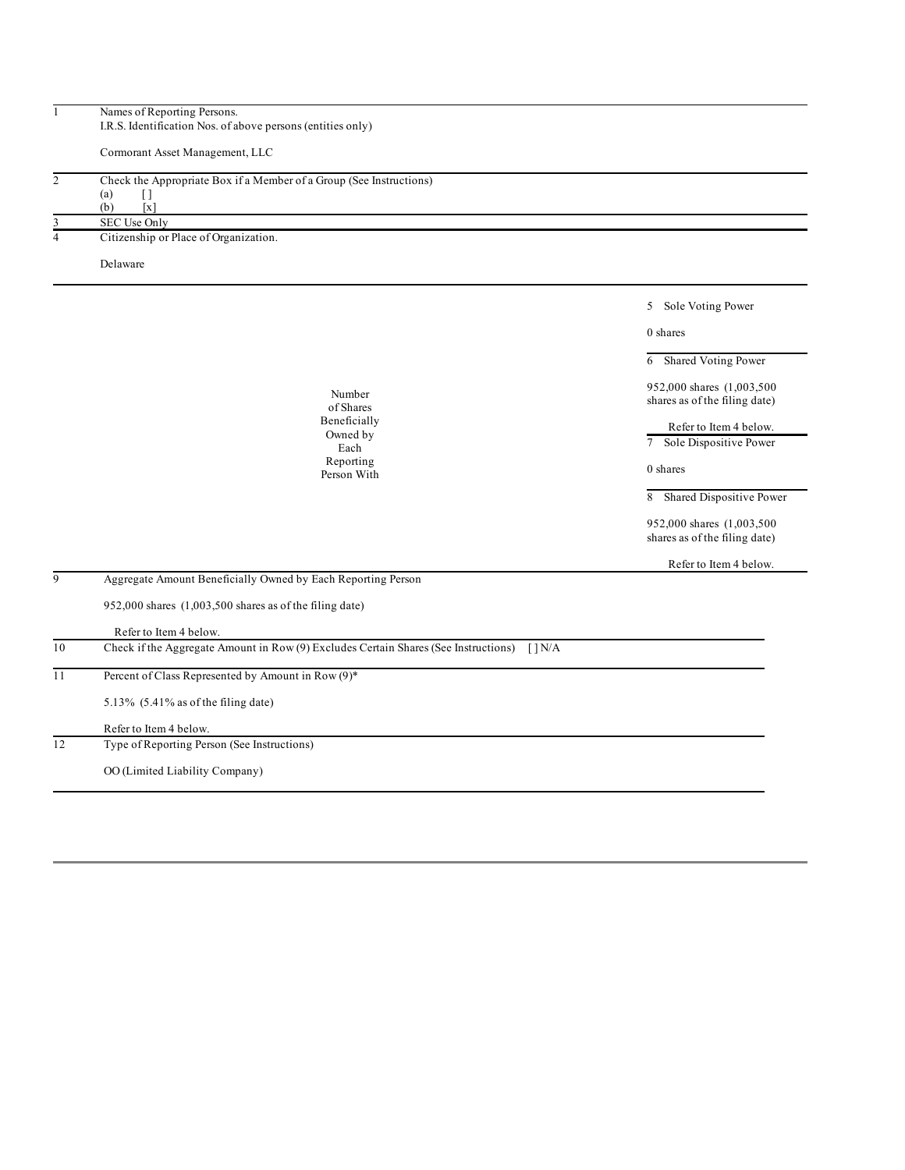| $\mathbbm{1}$  | Names of Reporting Persons.                                                                                      |                                                             |
|----------------|------------------------------------------------------------------------------------------------------------------|-------------------------------------------------------------|
|                | I.R.S. Identification Nos. of above persons (entities only)                                                      |                                                             |
|                | Cormorant Asset Management, LLC                                                                                  |                                                             |
| $\overline{c}$ | Check the Appropriate Box if a Member of a Group (See Instructions)                                              |                                                             |
|                | (a)<br>$[ \ ]$                                                                                                   |                                                             |
| 3              | (b)<br>$\left[ \mathbf{x}\right]$<br>SEC Use Only                                                                |                                                             |
| $\overline{4}$ | Citizenship or Place of Organization.                                                                            |                                                             |
|                | Delaware                                                                                                         |                                                             |
|                |                                                                                                                  |                                                             |
|                |                                                                                                                  | Sole Voting Power<br>5                                      |
|                |                                                                                                                  | 0 shares                                                    |
|                |                                                                                                                  | Shared Voting Power<br>6                                    |
|                |                                                                                                                  | 952,000 shares (1,003,500)                                  |
|                | Number<br>of Shares                                                                                              | shares as of the filing date)                               |
|                | Beneficially                                                                                                     | Refer to Item 4 below.                                      |
|                | Owned by<br>Each                                                                                                 | 7 <sup>7</sup><br>Sole Dispositive Power                    |
|                | Reporting                                                                                                        |                                                             |
|                | Person With                                                                                                      | 0 shares                                                    |
|                |                                                                                                                  | 8 Shared Dispositive Power                                  |
|                |                                                                                                                  | 952,000 shares (1,003,500)<br>shares as of the filing date) |
|                |                                                                                                                  | Refer to Item 4 below.                                      |
| 9              | Aggregate Amount Beneficially Owned by Each Reporting Person                                                     |                                                             |
|                | 952,000 shares (1,003,500 shares as of the filing date)                                                          |                                                             |
|                | Refer to Item 4 below.                                                                                           |                                                             |
| 10             | Check if the Aggregate Amount in Row (9) Excludes Certain Shares (See Instructions)<br>$\lceil \cdot \rceil N/A$ |                                                             |
| 11             | Percent of Class Represented by Amount in Row (9)*                                                               |                                                             |
|                | 5.13% $(5.41\%$ as of the filing date)                                                                           |                                                             |
|                | Refer to Item 4 below.                                                                                           |                                                             |
| 12             | Type of Reporting Person (See Instructions)                                                                      |                                                             |
|                | OO (Limited Liability Company)                                                                                   |                                                             |
|                |                                                                                                                  |                                                             |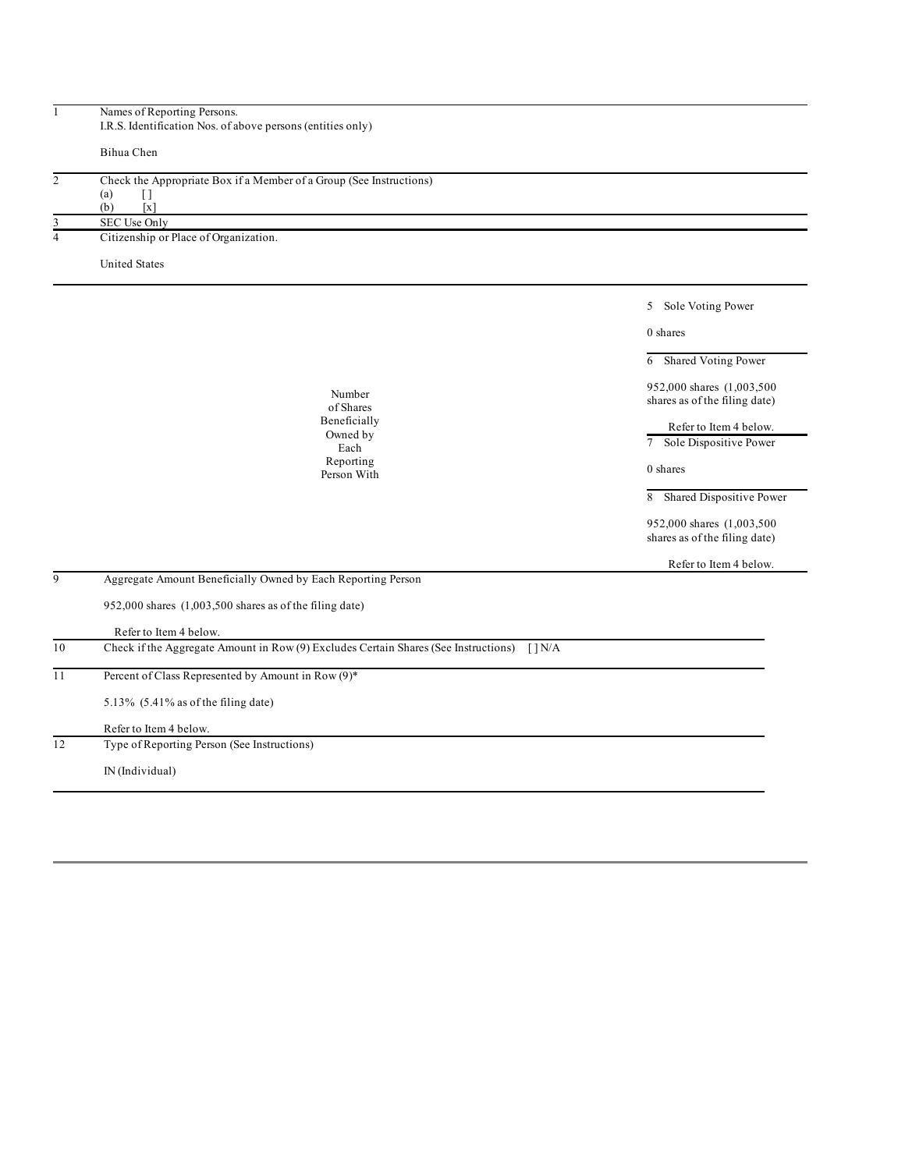| $\mathbf{1}$            | Names of Reporting Persons.<br>I.R.S. Identification Nos. of above persons (entities only) |                               |
|-------------------------|--------------------------------------------------------------------------------------------|-------------------------------|
|                         |                                                                                            |                               |
|                         | Bihua Chen                                                                                 |                               |
| $\overline{2}$          | Check the Appropriate Box if a Member of a Group (See Instructions)                        |                               |
|                         | (a)<br>$[ \ ]$<br>(b)<br>[x]                                                               |                               |
| 3                       | SEC Use Only                                                                               |                               |
| $\overline{\mathbf{4}}$ | Citizenship or Place of Organization.                                                      |                               |
|                         | <b>United States</b>                                                                       |                               |
|                         |                                                                                            |                               |
|                         |                                                                                            | 5 Sole Voting Power           |
|                         |                                                                                            | 0 shares                      |
|                         |                                                                                            | Shared Voting Power<br>6      |
|                         |                                                                                            | 952,000 shares (1,003,500)    |
|                         | Number<br>of Shares                                                                        | shares as of the filing date) |
|                         | Beneficially                                                                               | Refer to Item 4 below.        |
|                         | Owned by<br>Each                                                                           | 7 Sole Dispositive Power      |
|                         | Reporting<br>Person With                                                                   | 0 shares                      |
|                         |                                                                                            | 8 Shared Dispositive Power    |
|                         |                                                                                            | 952,000 shares (1,003,500     |
|                         |                                                                                            | shares as of the filing date) |
|                         |                                                                                            | Refer to Item 4 below.        |
| 9                       | Aggregate Amount Beneficially Owned by Each Reporting Person                               |                               |
|                         | 952,000 shares (1,003,500 shares as of the filing date)                                    |                               |
|                         | Refer to Item 4 below.                                                                     |                               |
| 10                      | Check if the Aggregate Amount in Row (9) Excludes Certain Shares (See Instructions) [] N/A |                               |
| 11                      | Percent of Class Represented by Amount in Row (9)*                                         |                               |
|                         | 5.13% (5.41% as of the filing date)                                                        |                               |
|                         | Refer to Item 4 below.                                                                     |                               |
| 12                      | Type of Reporting Person (See Instructions)                                                |                               |
|                         | IN (Individual)                                                                            |                               |
|                         |                                                                                            |                               |
|                         |                                                                                            |                               |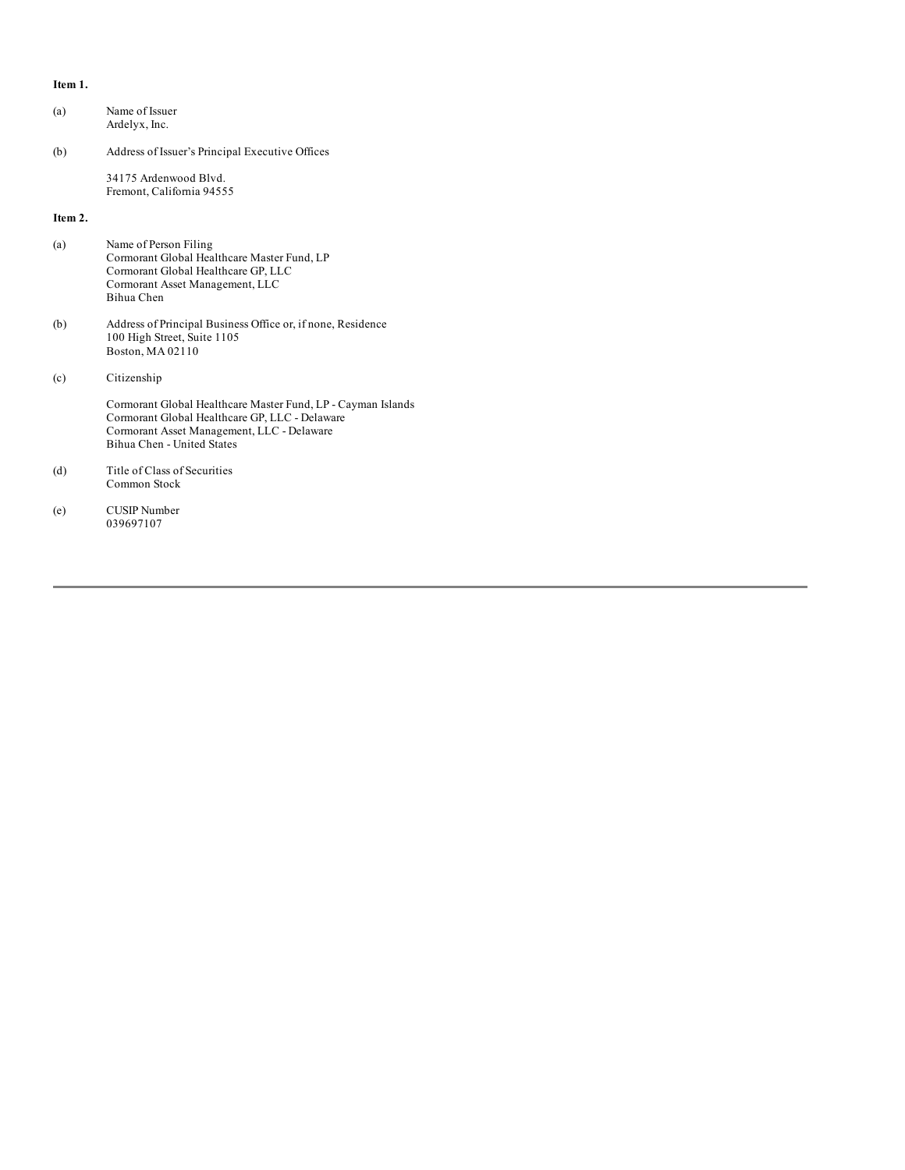### **Item 1.**

| (a)     | Name of Issuer<br>Ardelyx, Inc.                                                                                                                                                            |
|---------|--------------------------------------------------------------------------------------------------------------------------------------------------------------------------------------------|
| (b)     | Address of Issuer's Principal Executive Offices                                                                                                                                            |
|         | 34175 Ardenwood Blyd.<br>Fremont, California 94555                                                                                                                                         |
| Item 2. |                                                                                                                                                                                            |
| (a)     | Name of Person Filing<br>Cormorant Global Healthcare Master Fund, LP<br>Cormorant Global Healthcare GP, LLC<br>Cormorant Asset Management, LLC<br>Bihua Chen                               |
| (b)     | Address of Principal Business Office or, if none, Residence<br>100 High Street, Suite 1105<br>Boston, MA 02110                                                                             |
| (c)     | Citizenship                                                                                                                                                                                |
|         | Cormorant Global Healthcare Master Fund, LP - Cayman Islands<br>Cormorant Global Healthcare GP, LLC - Delaware<br>Cormorant Asset Management, LLC - Delaware<br>Bihua Chen - United States |
| (d)     | Title of Class of Securities<br>Common Stock                                                                                                                                               |
| (e)     | <b>CUSIP</b> Number<br>039697107                                                                                                                                                           |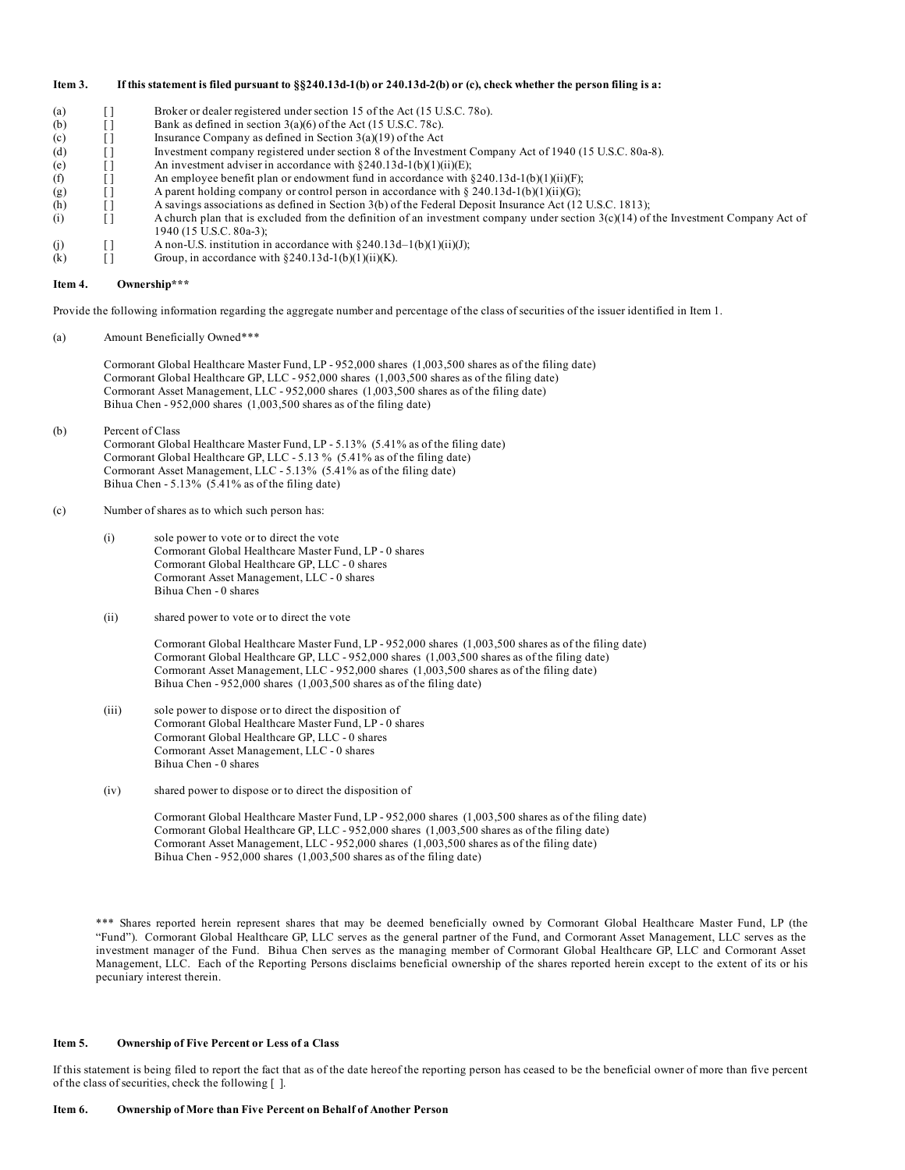#### Item 3. If this statement is filed pursuant to §§240.13d-1(b) or 240.13d-2(b) or (c), check whether the person filing is a:

(a) [ ] Broker or dealer registered under section 15 of the Act (15 U.S.C. 78o). (b)  $\boxed{\phantom{0}]}$  Bank as defined in section 3(a)(6) of the Act (15 U.S.C. 78c). (c)  $\boxed{\phantom{0}}$  Insurance Company as defined in Section 3(a)(19) of the Act (d) [ ] Investment company registered under section 8 of the Investment Company Act of 1940 (15 U.S.C. 80a-8). (e)  $\boxed{\phantom{0}}$  [ ] An investment adviser in accordance with §240.13d-1(b)(1)(ii)(E); (f)  $\qquad$  [ ] An employee benefit plan or endowment fund in accordance with §240.13d-1(b)(1)(ii)(F); (g)  $\begin{bmatrix} 1 \end{bmatrix}$  A parent holding company or control person in accordance with § 240.13d-1(b)(1)(ii)(G); (h) [ ] A savings associations as defined in Section 3(b) of the Federal Deposit Insurance Act (12 U.S.C. 1813); (i)  $[$  [  $]$  A church plan that is excluded from the definition of an investment company under section  $3(c)(14)$  of the Investment Company Act of 1940 (15 U.S.C. 80a-3); (j)  $\begin{bmatrix} ] & \text{A non-U.S. institution in accordance with §240.13d-1(b)(1)(ii)(J); \\ (k) & \text{[} \end{bmatrix}$  Group, in accordance with §240.13d-1(b)(1)(ii)(K). (k)  $\boxed{1}$  Group, in accordance with §240.13d-1(b)(1)(ii)(K).

#### **Item 4. Ownership\*\*\***

Provide the following information regarding the aggregate number and percentage of the class of securities of the issuer identified in Item 1.

(a) Amount Beneficially Owned\*\*\*

Cormorant Global Healthcare Master Fund, LP - 952,000 shares (1,003,500 shares as of the filing date) Cormorant Global Healthcare GP, LLC - 952,000 shares (1,003,500 shares as of the filing date) Cormorant Asset Management, LLC - 952,000 shares (1,003,500 shares as of the filing date) Bihua Chen - 952,000 shares (1,003,500 shares as of the filing date)

(b) Percent of Class Cormorant Global Healthcare Master Fund, LP - 5.13% (5.41% as of the filing date) Cormorant Global Healthcare GP, LLC - 5.13 % (5.41% as of the filing date) Cormorant Asset Management, LLC - 5.13% (5.41% as of the filing date) Bihua Chen - 5.13% (5.41% as of the filing date)

### (c) Number of shares as to which such person has:

- (i) sole power to vote or to direct the vote Cormorant Global Healthcare Master Fund, LP - 0 shares Cormorant Global Healthcare GP, LLC - 0 shares Cormorant Asset Management, LLC - 0 shares Bihua Chen - 0 shares
- (ii) shared power to vote or to direct the vote

Cormorant Global Healthcare Master Fund, LP - 952,000 shares (1,003,500 shares as of the filing date) Cormorant Global Healthcare GP, LLC - 952,000 shares (1,003,500 shares as of the filing date) Cormorant Asset Management, LLC - 952,000 shares (1,003,500 shares as of the filing date) Bihua Chen - 952,000 shares (1,003,500 shares as of the filing date)

- (iii) sole power to dispose or to direct the disposition of Cormorant Global Healthcare Master Fund, LP - 0 shares Cormorant Global Healthcare GP, LLC - 0 shares Cormorant Asset Management, LLC - 0 shares Bihua Chen - 0 shares
- (iv) shared power to dispose or to direct the disposition of

Cormorant Global Healthcare Master Fund, LP - 952,000 shares (1,003,500 shares as of the filing date) Cormorant Global Healthcare GP, LLC - 952,000 shares (1,003,500 shares as of the filing date) Cormorant Asset Management, LLC - 952,000 shares (1,003,500 shares as of the filing date) Bihua Chen - 952,000 shares (1,003,500 shares as of the filing date)

\*\*\* Shares reported herein represent shares that may be deemed beneficially owned by Cormorant Global Healthcare Master Fund, LP (the "Fund"). Cormorant Global Healthcare GP, LLC serves as the general partner of the Fund, and Cormorant Asset Management, LLC serves as the investment manager of the Fund. Bihua Chen serves as the managing member of Cormorant Global Healthcare GP, LLC and Cormorant Asset Management, LLC. Each of the Reporting Persons disclaims beneficial ownership of the shares reported herein except to the extent of its or his pecuniary interest therein.

### **Item 5. Ownership of Five Percent or Less of a Class**

If this statement is being filed to report the fact that as of the date hereof the reporting person has ceased to be the beneficial owner of more than five percent of the class of securities, check the following [ ].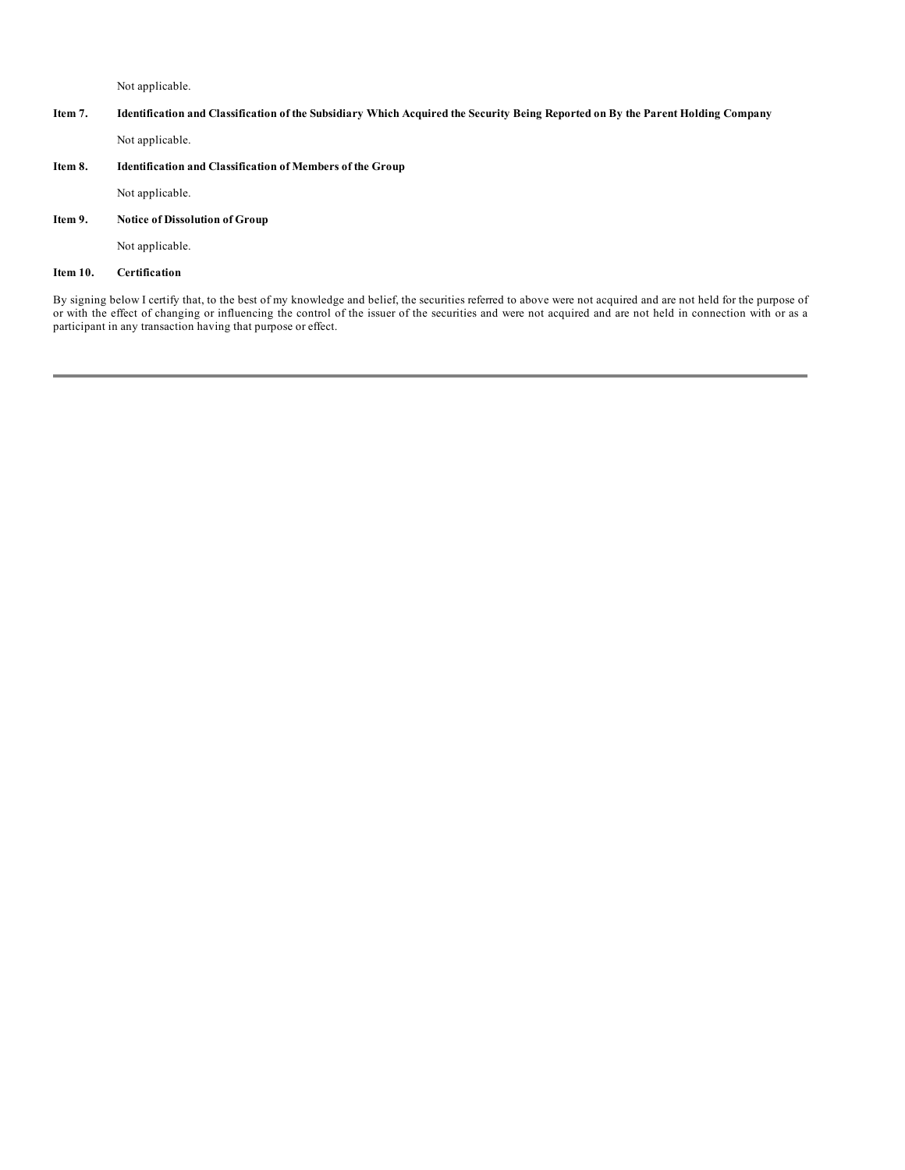Not applicable.

# Item 7. Identification and Classification of the Subsidiary Which Acquired the Security Being Reported on By the Parent Holding Company

Not applicable.

### **Item 8. Identification and Classification of Members of the Group**

Not applicable.

# **Item 9. Notice of Dissolution of Group**

Not applicable.

### **Item 10. Certification**

By signing below I certify that, to the best of my knowledge and belief, the securities referred to above were not acquired and are not held for the purpose of or with the effect of changing or influencing the control of the issuer of the securities and were not acquired and are not held in connection with or as a participant in any transaction having that purpose or effect.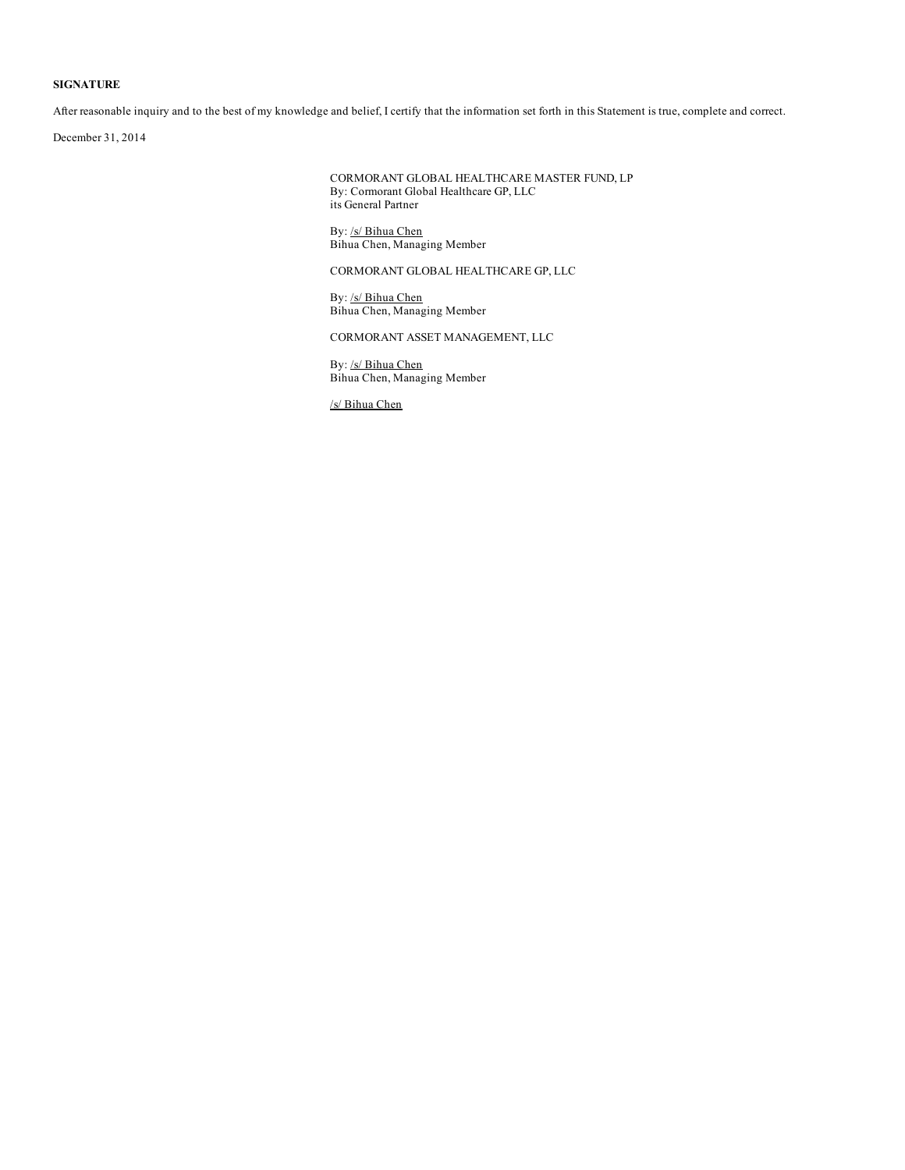## **SIGNATURE**

After reasonable inquiry and to the best of my knowledge and belief, I certify that the information set forth in this Statement is true, complete and correct.

December 31, 2014

CORMORANT GLOBAL HEALTHCARE MASTER FUND, LP By: Cormorant Global Healthcare GP, LLC its General Partner

By: /s/ Bihua Chen Bihua Chen, Managing Member

CORMORANT GLOBAL HEALTHCARE GP, LLC

By: /s/ Bihua Chen Bihua Chen, Managing Member

CORMORANT ASSET MANAGEMENT, LLC

By: /s/ Bihua Chen Bihua Chen, Managing Member

/s/ Bihua Chen